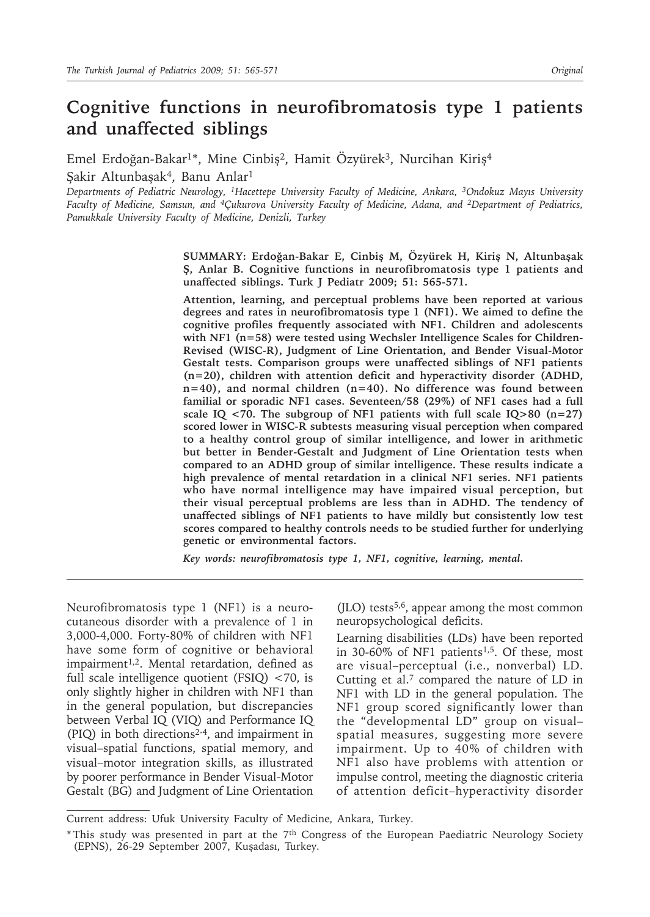# **Cognitive functions in neurofibromatosis type 1 patients and unaffected siblings**

Emel Erdoğan-Bakar<sup>1\*</sup>, Mine Cinbiş<sup>2</sup>, Hamit Özvürek<sup>3</sup>, Nurcihan Kiris<sup>4</sup>

Şakir Altunbaşak<sup>4</sup>, Banu Anlar<sup>1</sup>

*Departments of Pediatric Neurology, 1Hacettepe University Faculty of Medicine, Ankara, 3Ondokuz Mayıs University Faculty of Medicine, Samsun, and 4Çukurova University Faculty of Medicine, Adana, and 2Department of Pediatrics, Pamukkale University Faculty of Medicine, Denizli, Turkey*

> **SUMMARY: Erdoğan-Bakar E, Cinbiş M, Özyürek H, Kiriş N, Altunbaşak Ş, Anlar B. Cognitive functions in neurofibromatosis type 1 patients and unaffected siblings. Turk J Pediatr 2009; 51: 565-571.**

> **Attention, learning, and perceptual problems have been reported at various degrees and rates in neurofibromatosis type 1 (NF1). We aimed to define the cognitive profiles frequently associated with NF1. Children and adolescents with NF1 (n=58) were tested using Wechsler Intelligence Scales for Children-Revised (WISC-R), Judgment of Line Orientation, and Bender Visual-Motor Gestalt tests. Comparison groups were unaffected siblings of NF1 patients (n=20), children with attention deficit and hyperactivity disorder (ADHD, n=40), and normal children (n=40). No difference was found between familial or sporadic NF1 cases. Seventeen/58 (29%) of NF1 cases had a full scale IQ <70. The subgroup of NF1 patients with full scale IQ>80 (n=27) scored lower in WISC-R subtests measuring visual perception when compared to a healthy control group of similar intelligence, and lower in arithmetic but better in Bender-Gestalt and Judgment of Line Orientation tests when compared to an ADHD group of similar intelligence. These results indicate a high prevalence of mental retardation in a clinical NF1 series. NF1 patients who have normal intelligence may have impaired visual perception, but their visual perceptual problems are less than in ADHD. The tendency of unaffected siblings of NF1 patients to have mildly but consistently low test scores compared to healthy controls needs to be studied further for underlying genetic or environmental factors.**

*Key words: neurofibromatosis type 1, NF1, cognitive, learning, mental.*

Neurofibromatosis type 1 (NF1) is a neurocutaneous disorder with a prevalence of 1 in 3,000-4,000. Forty-80% of children with NF1 have some form of cognitive or behavioral impairment<sup>1,2</sup>. Mental retardation, defined as full scale intelligence quotient (FSIQ) <70, is only slightly higher in children with NF1 than in the general population, but discrepancies between Verbal IQ (VIQ) and Performance IQ (PIQ) in both directions2-4, and impairment in visual–spatial functions, spatial memory, and visual–motor integration skills, as illustrated by poorer performance in Bender Visual-Motor Gestalt (BG) and Judgment of Line Orientation

 $(JLO)$  tests<sup>5,6</sup>, appear among the most common neuropsychological deficits.

Learning disabilities (LDs) have been reported in 30-60% of NF1 patients<sup>1,5</sup>. Of these, most are visual–perceptual (i.e., nonverbal) LD. Cutting et al.7 compared the nature of LD in NF1 with LD in the general population. The NF1 group scored significantly lower than the "developmental LD" group on visual– spatial measures, suggesting more severe impairment. Up to 40% of children with NF1 also have problems with attention or impulse control, meeting the diagnostic criteria of attention deficit–hyperactivity disorder

Current address: Ufuk University Faculty of Medicine, Ankara, Turkey.

<sup>\*</sup> This study was presented in part at the 7th Congress of the European Paediatric Neurology Society (EPNS), 26-29 September 2007, Kuşadası, Turkey.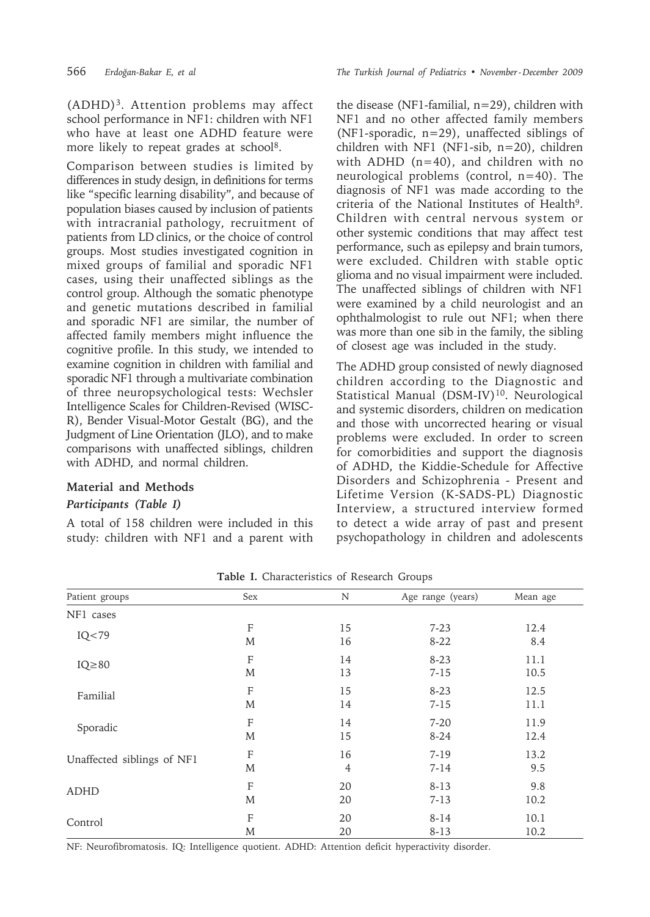(ADHD)3. Attention problems may affect school performance in NF1: children with NF1 who have at least one ADHD feature were more likely to repeat grades at school<sup>8</sup>.

Comparison between studies is limited by differences in study design, in definitions for terms like "specific learning disability", and because of population biases caused by inclusion of patients with intracranial pathology, recruitment of patients from LD clinics, or the choice of control groups. Most studies investigated cognition in mixed groups of familial and sporadic NF1 cases, using their unaffected siblings as the control group. Although the somatic phenotype and genetic mutations described in familial and sporadic NF1 are similar, the number of affected family members might influence the cognitive profile. In this study, we intended to examine cognition in children with familial and sporadic NF1 through a multivariate combination of three neuropsychological tests: Wechsler Intelligence Scales for Children-Revised (WISC-R), Bender Visual-Motor Gestalt (BG), and the Judgment of Line Orientation (JLO), and to make comparisons with unaffected siblings, children with ADHD, and normal children.

#### **Material and Methods**

#### *Participants (Table I)*

A total of 158 children were included in this study: children with NF1 and a parent with

566 *Erdoğan-Bakar E, et al The Turkish Journal of Pediatrics • November - December 2009*

the disease (NF1-familial, n=29), children with NF1 and no other affected family members (NF1-sporadic, n=29), unaffected siblings of children with NF1 (NF1-sib, n=20), children with ADHD  $(n=40)$ , and children with no neurological problems (control, n=40). The diagnosis of NF1 was made according to the criteria of the National Institutes of Health9. Children with central nervous system or other systemic conditions that may affect test performance, such as epilepsy and brain tumors, were excluded. Children with stable optic glioma and no visual impairment were included. The unaffected siblings of children with NF1 were examined by a child neurologist and an ophthalmologist to rule out NF1; when there was more than one sib in the family, the sibling of closest age was included in the study.

The ADHD group consisted of newly diagnosed children according to the Diagnostic and Statistical Manual (DSM-IV)<sup>10</sup>. Neurological and systemic disorders, children on medication and those with uncorrected hearing or visual problems were excluded. In order to screen for comorbidities and support the diagnosis of ADHD, the Kiddie-Schedule for Affective Disorders and Schizophrenia - Present and Lifetime Version (K-SADS-PL) Diagnostic Interview, a structured interview formed to detect a wide array of past and present psychopathology in children and adolescents

| Patient groups             | Sex                       | N              | Age range (years) | Mean age |
|----------------------------|---------------------------|----------------|-------------------|----------|
| NF1 cases                  |                           |                |                   |          |
| IQ < 79                    | $\boldsymbol{\mathrm{F}}$ | 15             | $7 - 23$          | 12.4     |
|                            | M                         | 16             | $8 - 22$          | 8.4      |
| $IQ \geq 80$               | $\boldsymbol{\mathrm{F}}$ | 14             | $8 - 23$          | 11.1     |
|                            | M                         | 13             | $7 - 15$          | 10.5     |
| Familial                   | $\mathbf F$               | 15             | $8 - 23$          | 12.5     |
|                            | M                         | 14             | $7 - 15$          | 11.1     |
| Sporadic                   | $\boldsymbol{\mathrm{F}}$ | 14             | $7 - 20$          | 11.9     |
|                            | M                         | 15             | $8-24$            | 12.4     |
| Unaffected siblings of NF1 | $\boldsymbol{\mathrm{F}}$ | 16             | $7 - 19$          | 13.2     |
|                            | M                         | $\overline{4}$ | $7 - 14$          | 9.5      |
| <b>ADHD</b>                | $\boldsymbol{\mathrm{F}}$ | 20             | $8 - 13$          | 9.8      |
|                            | M                         | 20             | $7 - 13$          | 10.2     |
| Control                    | F                         | 20             | $8 - 14$          | 10.1     |
|                            | M                         | 20             | $8 - 13$          | 10.2     |

**Table I.** Characteristics of Research Groups

NF: Neurofibromatosis. IQ: Intelligence quotient. ADHD: Attention deficit hyperactivity disorder.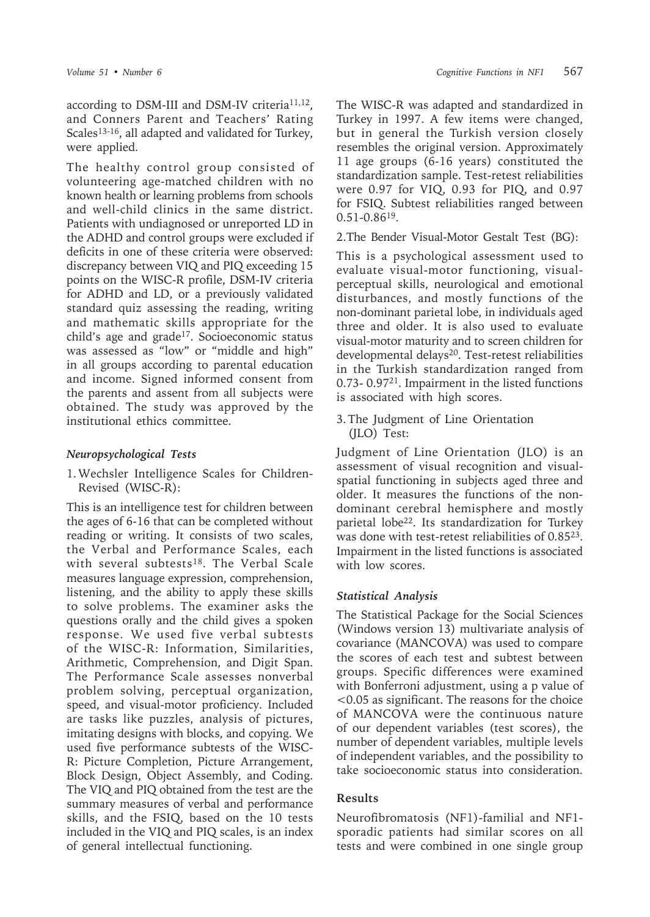according to DSM-III and DSM-IV criteria<sup>11,12</sup>, and Conners Parent and Teachers' Rating Scales<sup>13-16</sup>, all adapted and validated for Turkey, were applied.

The healthy control group consisted of volunteering age-matched children with no known health or learning problems from schools and well-child clinics in the same district. Patients with undiagnosed or unreported LD in the ADHD and control groups were excluded if deficits in one of these criteria were observed: discrepancy between VIQ and PIQ exceeding 15 points on the WISC-R profile, DSM-IV criteria for ADHD and LD, or a previously validated standard quiz assessing the reading, writing and mathematic skills appropriate for the child's age and grade17. Socioeconomic status was assessed as "low" or "middle and high" in all groups according to parental education and income. Signed informed consent from the parents and assent from all subjects were obtained. The study was approved by the institutional ethics committee.

## *Neuropsychological Tests*

1. Wechsler Intelligence Scales for Children-Revised (WISC-R):

This is an intelligence test for children between the ages of 6-16 that can be completed without reading or writing. It consists of two scales, the Verbal and Performance Scales, each with several subtests<sup>18</sup>. The Verbal Scale measures language expression, comprehension, listening, and the ability to apply these skills to solve problems. The examiner asks the questions orally and the child gives a spoken response. We used five verbal subtests of the WISC-R: Information, Similarities, Arithmetic, Comprehension, and Digit Span. The Performance Scale assesses nonverbal problem solving, perceptual organization, speed, and visual-motor proficiency. Included are tasks like puzzles, analysis of pictures, imitating designs with blocks, and copying. We used five performance subtests of the WISC-R: Picture Completion, Picture Arrangement, Block Design, Object Assembly, and Coding. The VIQ and PIQ obtained from the test are the summary measures of verbal and performance skills, and the FSIQ, based on the 10 tests included in the VIQ and PIQ scales, is an index of general intellectual functioning.

The WISC-R was adapted and standardized in Turkey in 1997. A few items were changed, but in general the Turkish version closely resembles the original version. Approximately 11 age groups (6-16 years) constituted the standardization sample. Test-retest reliabilities were 0.97 for VIQ, 0.93 for PIQ, and 0.97 for FSIQ. Subtest reliabilities ranged between 0.51-0.8619.

2. The Bender Visual-Motor Gestalt Test (BG):

This is a psychological assessment used to evaluate visual-motor functioning, visualperceptual skills, neurological and emotional disturbances, and mostly functions of the non-dominant parietal lobe, in individuals aged three and older. It is also used to evaluate visual-motor maturity and to screen children for developmental delays<sup>20</sup>. Test-retest reliabilities in the Turkish standardization ranged from 0.73- 0.9721. Impairment in the listed functions is associated with high scores.

3. The Judgment of Line Orientation (JLO) Test:

Judgment of Line Orientation (JLO) is an assessment of visual recognition and visualspatial functioning in subjects aged three and older. It measures the functions of the nondominant cerebral hemisphere and mostly parietal lobe<sup>22</sup>. Its standardization for Turkey was done with test-retest reliabilities of 0.85<sup>23</sup>. Impairment in the listed functions is associated with low scores.

### *Statistical Analysis*

The Statistical Package for the Social Sciences (Windows version 13) multivariate analysis of covariance (MANCOVA) was used to compare the scores of each test and subtest between groups. Specific differences were examined with Bonferroni adjustment, using a p value of <0.05 as significant. The reasons for the choice of MANCOVA were the continuous nature of our dependent variables (test scores), the number of dependent variables, multiple levels of independent variables, and the possibility to take socioeconomic status into consideration.

### **Results**

Neurofibromatosis (NF1)-familial and NF1 sporadic patients had similar scores on all tests and were combined in one single group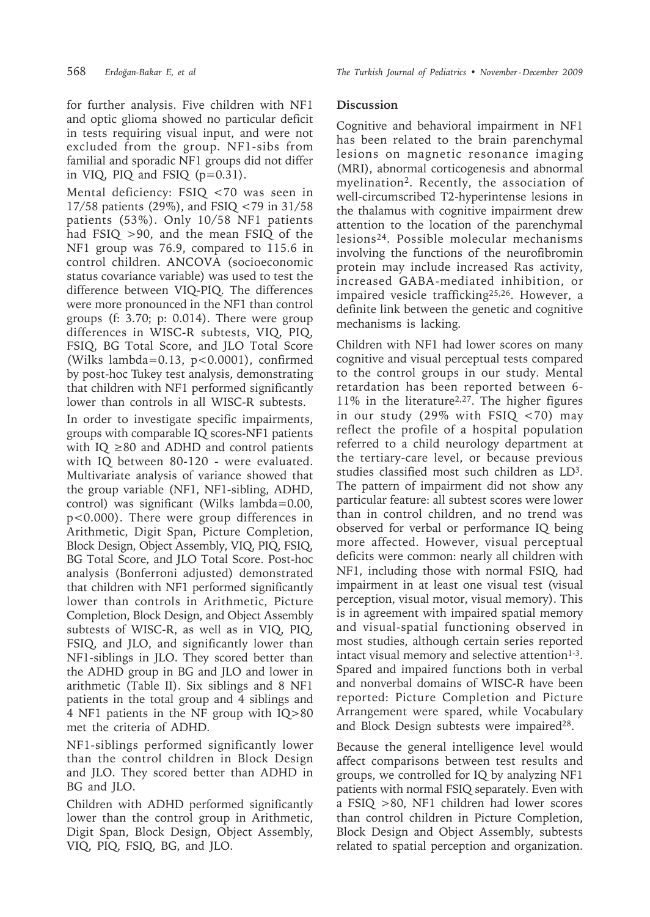for further analysis. Five children with NF1 and optic glioma showed no particular deficit in tests requiring visual input, and were not excluded from the group. NF1-sibs from familial and sporadic NF1 groups did not differ in VIQ, PIQ and FSIQ  $(p=0.31)$ .

Mental deficiency: FSIQ <70 was seen in 17/58 patients (29%), and FSIQ <79 in 31/58 patients (53%). Only 10/58 NF1 patients had FSIQ >90, and the mean FSIQ of the NF1 group was 76.9, compared to 115.6 in control children. ANCOVA (socioeconomic status covariance variable) was used to test the difference between VIQ-PIQ. The differences were more pronounced in the NF1 than control groups (f: 3.70; p: 0.014). There were group differences in WISC-R subtests, VIQ, PIQ, FSIQ, BG Total Score, and JLO Total Score (Wilks lambda=0.13, p<0.0001), confirmed by post-hoc Tukey test analysis, demonstrating that children with NF1 performed significantly lower than controls in all WISC-R subtests.

In order to investigate specific impairments, groups with comparable IQ scores-NF1 patients with IQ ≥80 and ADHD and control patients with IQ between 80-120 - were evaluated. Multivariate analysis of variance showed that the group variable (NF1, NF1-sibling, ADHD, control) was significant (Wilks lambda=0.00, p<0.000). There were group differences in Arithmetic, Digit Span, Picture Completion, Block Design, Object Assembly, VIQ, PIQ, FSIQ, BG Total Score, and JLO Total Score. Post-hoc analysis (Bonferroni adjusted) demonstrated that children with NF1 performed significantly lower than controls in Arithmetic, Picture Completion, Block Design, and Object Assembly subtests of WISC-R, as well as in VIQ, PIQ, FSIQ, and JLO, and significantly lower than NF1-siblings in JLO. They scored better than the ADHD group in BG and JLO and lower in arithmetic (Table II). Six siblings and 8 NF1 patients in the total group and 4 siblings and 4 NF1 patients in the NF group with IQ>80 met the criteria of ADHD.

NF1-siblings performed significantly lower than the control children in Block Design and JLO. They scored better than ADHD in BG and JLO.

Children with ADHD performed significantly lower than the control group in Arithmetic, Digit Span, Block Design, Object Assembly, VIQ, PIQ, FSIQ, BG, and JLO.

#### **Discussion**

Cognitive and behavioral impairment in NF1 has been related to the brain parenchymal lesions on magnetic resonance imaging (MRI), abnormal corticogenesis and abnormal myelination<sup>2</sup>. Recently, the association of well-circumscribed T2-hyperintense lesions in the thalamus with cognitive impairment drew attention to the location of the parenchymal lesions24. Possible molecular mechanisms involving the functions of the neurofibromin protein may include increased Ras activity, increased GABA-mediated inhibition, or impaired vesicle trafficking25,26. However, a definite link between the genetic and cognitive mechanisms is lacking.

Children with NF1 had lower scores on many cognitive and visual perceptual tests compared to the control groups in our study. Mental retardation has been reported between 6- 11% in the literature<sup>2,27</sup>. The higher figures in our study (29% with FSIQ <70) may reflect the profile of a hospital population referred to a child neurology department at the tertiary-care level, or because previous studies classified most such children as LD3. The pattern of impairment did not show any particular feature: all subtest scores were lower than in control children, and no trend was observed for verbal or performance IQ being more affected. However, visual perceptual deficits were common: nearly all children with NF1, including those with normal FSIQ, had impairment in at least one visual test (visual perception, visual motor, visual memory). This is in agreement with impaired spatial memory and visual-spatial functioning observed in most studies, although certain series reported intact visual memory and selective attention $1-3$ . Spared and impaired functions both in verbal and nonverbal domains of WISC-R have been reported: Picture Completion and Picture Arrangement were spared, while Vocabulary and Block Design subtests were impaired28.

Because the general intelligence level would affect comparisons between test results and groups, we controlled for IQ by analyzing NF1 patients with normal FSIQ separately. Even with a FSIQ >80, NF1 children had lower scores than control children in Picture Completion, Block Design and Object Assembly, subtests related to spatial perception and organization.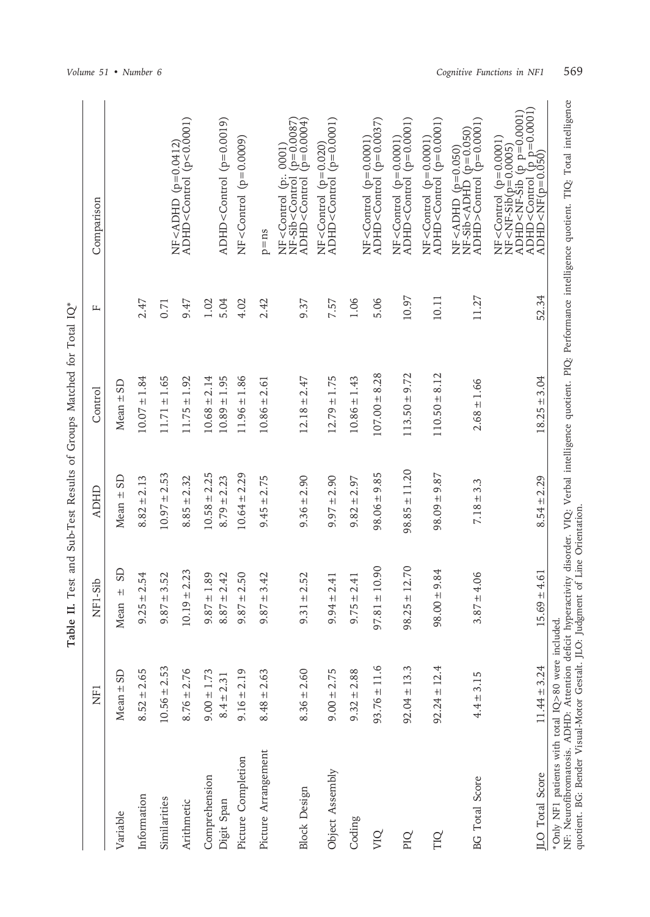|                                                                                                                                     |                  | Table             |                   | II. Test and Sub-Test Results of Groups Matched for Total IQ* |       |                                                                                                                                                                                                                                                                                                 |
|-------------------------------------------------------------------------------------------------------------------------------------|------------------|-------------------|-------------------|---------------------------------------------------------------|-------|-------------------------------------------------------------------------------------------------------------------------------------------------------------------------------------------------------------------------------------------------------------------------------------------------|
|                                                                                                                                     | <b>ZHI</b>       | NF1-Sib           | <b>ADHD</b>       | Control                                                       | щ     | Comparison                                                                                                                                                                                                                                                                                      |
| Variable                                                                                                                            | $Mean \pm SD$    | GS<br>$+$<br>Mean | Mean $\pm$ SD     | $Mean \pm SD$                                                 |       |                                                                                                                                                                                                                                                                                                 |
| Information                                                                                                                         | $8.52 \pm 2.65$  | $9.25 \pm 2.54$   | $8.82 \pm 2.13$   | $10.07 \pm 1.84$                                              | 2.47  |                                                                                                                                                                                                                                                                                                 |
| Similarities                                                                                                                        | $10.56 \pm 2.53$ | $9.87 \pm 3.52$   | $10.97 \pm 2.53$  | $11.71 \pm 1.65$                                              | 0.71  |                                                                                                                                                                                                                                                                                                 |
| Arithmetic                                                                                                                          | $8.76 \pm 2.76$  | $0.19 \pm 2.23$   | $8.85 \pm 2.32$   | $11.75 \pm 1.92$                                              | 9.47  | NF <adhd (p="0.0412)&lt;br">ADHD<control (p<0.0001)<="" td=""></control></adhd>                                                                                                                                                                                                                 |
| Comprehension                                                                                                                       | $9.00 \pm 1.73$  | $9.87 \pm 1.89$   | $10.58 \pm 2.25$  | $10.68 \pm 2.14$                                              | 1.02  |                                                                                                                                                                                                                                                                                                 |
| Digit Span                                                                                                                          | $8.4 \pm 2.31$   | $8.87 \pm 2.42$   | $8.79 \pm 2.23$   | $10.89 \pm 1.95$                                              | 5.04  | ADHD <control <math="">(p=0.0019)</control>                                                                                                                                                                                                                                                     |
| Picture Completion                                                                                                                  | $9.16 \pm 2.19$  | $9.87 \pm 2.50$   | $10.64 \pm 2.29$  | $11.96 \pm 1.86$                                              | 4.02  | NF <control (p="0.0009)&lt;/td"></control>                                                                                                                                                                                                                                                      |
| Picture Arrangement                                                                                                                 | $8.48 \pm 2.63$  | $9.87 \pm 3.42$   | $9.45 \pm 2.75$   | $10.86 \pm 2.61$                                              | 2.42  | $p = ns$                                                                                                                                                                                                                                                                                        |
| <b>Block Design</b>                                                                                                                 | $8.36 \pm 2.60$  | $9.31 \pm 2.52$   | $9.36 \pm 2.90$   | $12.18 \pm 2.47$                                              | 9.37  | NF <control (p.="" 0001)<br="">NF-Sib<control (p="0.0087)&lt;br">ADHD<control (p="0.0004)&lt;/td"></control></control></control>                                                                                                                                                                |
| Object Assembly                                                                                                                     | $9.00 \pm 2.75$  | $9.94 \pm 2.41$   | $9.97 \pm 2.90$   | $12.79 \pm 1.75$                                              | 7.57  | NF <control (p="0.020)&lt;br">ADHD<control (p="0.0001)&lt;/td"></control></control>                                                                                                                                                                                                             |
| Coding                                                                                                                              | $9.32 \pm 2.88$  | $9.75 \pm 2.41$   | $9.82 \pm 2.97$   | $10.86 \pm 1.43$                                              | 1.06  |                                                                                                                                                                                                                                                                                                 |
| VIQ                                                                                                                                 | $93.76 \pm 11.6$ | $97.81 \pm 10.90$ | $98.06 \pm 9.85$  | $107.00 \pm 8.28$                                             | 5.06  | $ADHD <$ Control (p=0.0037)<br>$NF <$ Control (p=0.0001)                                                                                                                                                                                                                                        |
| PIQ                                                                                                                                 | $92.04 \pm 13.3$ | $98.25 \pm 12.70$ | $98.85 \pm 11.20$ | 9.72<br>$113.50 +$                                            | 10.97 | $ADHD <$ Control ( $p=0.0001$ )<br>$NF <$ Control (p=0.0001)                                                                                                                                                                                                                                    |
| TIQ                                                                                                                                 | $92.24 \pm 12.4$ | $98.00 \pm 9.84$  | $98.09 \pm 9.87$  | $110.50 \pm 8.12$                                             | 10.11 | NF <control (p="0.0001)&lt;br">ADHD<control (p="0.0001)&lt;/td"></control></control>                                                                                                                                                                                                            |
| <b>BG</b> Total Score                                                                                                               | $4.4 \pm 3.15$   | $3.87 \pm 4.06$   | $7.18 \pm 3.3$    | $2.68 \pm 1.66$                                               | 11.27 | $ADHD > Control$ $(p=0.0001)$<br>NF <adhd (p="0.050)&lt;br">NF-Sib<adhd (p="0.050)&lt;/td"></adhd></adhd>                                                                                                                                                                                       |
| <b>JLO</b> Total Score                                                                                                              | $11.44 \pm 3.24$ | $5.69 \pm 4.61$   | $8.54 \pm 2.29$   | $18.25 \pm 3.04$                                              | 52.34 | $\frac{1}{\text{ADHD} < \text{MF}(p=0.050)} \approx 0.0001$<br>NF <control (p="0.0001)&lt;br">NF<nf-sib(p=0.0005)<br>NF<nf-sib(p=0.0005)<br>ADHD<nf-sib (p="" p="0.0001)&lt;br">ADHD<control (p="" p="0.0001)&lt;/td"></control></nf-sib></nf-sib(p=0.0005)<br></nf-sib(p=0.0005)<br></control> |
| quotient. BG: Bender Visual-Motor Gestalt. JLO: Judgment of Line Orientation.<br>*Only NF1 patients with total IQ>80 were included. |                  |                   |                   |                                                               |       | NF: Neurofibromatosis. ADHD: Attention deficit hyperactivity disorder. VIQ: Verbal intelligence quotient. PIQ: Performance intelligence quotient. TIQ: Total intelligence                                                                                                                       |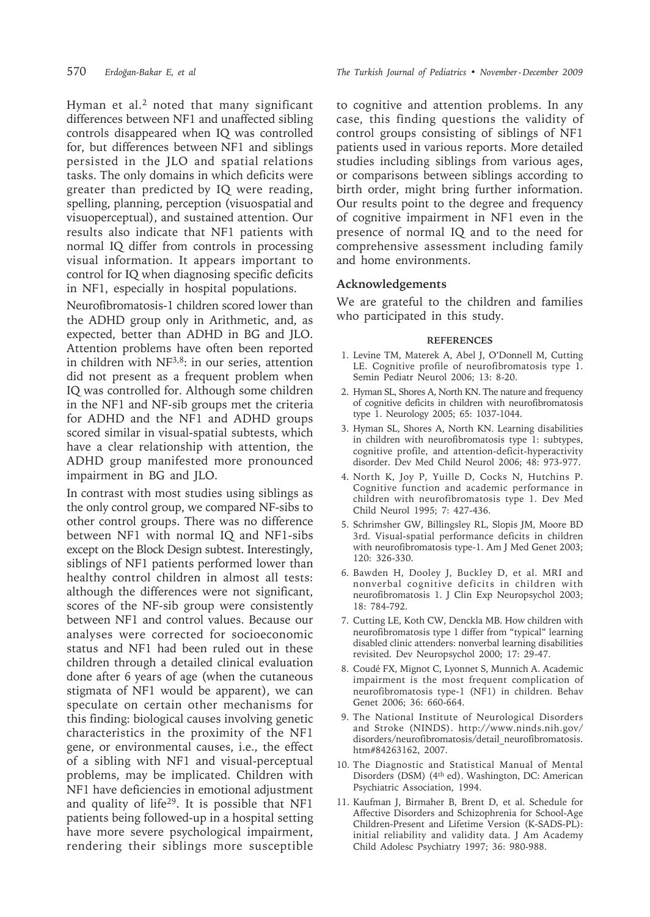Hyman et al.2 noted that many significant differences between NF1 and unaffected sibling controls disappeared when IQ was controlled for, but differences between NF1 and siblings persisted in the JLO and spatial relations tasks. The only domains in which deficits were greater than predicted by IQ were reading, spelling, planning, perception (visuospatial and visuoperceptual), and sustained attention. Our results also indicate that NF1 patients with normal IQ differ from controls in processing visual information. It appears important to control for IQ when diagnosing specific deficits in NF1, especially in hospital populations.

Neurofibromatosis-1 children scored lower than the ADHD group only in Arithmetic, and, as expected, better than ADHD in BG and JLO. Attention problems have often been reported in children with NF3,8: in our series, attention did not present as a frequent problem when IQ was controlled for. Although some children in the NF1 and NF-sib groups met the criteria for ADHD and the NF1 and ADHD groups scored similar in visual-spatial subtests, which have a clear relationship with attention, the ADHD group manifested more pronounced impairment in BG and JLO.

In contrast with most studies using siblings as the only control group, we compared NF-sibs to other control groups. There was no difference between NF1 with normal IQ and NF1-sibs except on the Block Design subtest. Interestingly, siblings of NF1 patients performed lower than healthy control children in almost all tests: although the differences were not significant, scores of the NF-sib group were consistently between NF1 and control values. Because our analyses were corrected for socioeconomic status and NF1 had been ruled out in these children through a detailed clinical evaluation done after 6 years of age (when the cutaneous stigmata of NF1 would be apparent), we can speculate on certain other mechanisms for this finding: biological causes involving genetic characteristics in the proximity of the NF1 gene, or environmental causes, i.e., the effect of a sibling with NF1 and visual-perceptual problems, may be implicated. Children with NF1 have deficiencies in emotional adjustment and quality of life29. It is possible that NF1 patients being followed-up in a hospital setting have more severe psychological impairment, rendering their siblings more susceptible

570 *Erdoğan-Bakar E, et al The Turkish Journal of Pediatrics • November - December 2009*

to cognitive and attention problems. In any case, this finding questions the validity of control groups consisting of siblings of NF1 patients used in various reports. More detailed studies including siblings from various ages, or comparisons between siblings according to birth order, might bring further information. Our results point to the degree and frequency of cognitive impairment in NF1 even in the presence of normal IQ and to the need for comprehensive assessment including family and home environments.

#### **Acknowledgements**

We are grateful to the children and families who participated in this study.

#### **REFERENCES**

- 1. Levine TM, Materek A, Abel J, O'Donnell M, Cutting LE. Cognitive profile of neurofibromatosis type 1. Semin Pediatr Neurol 2006; 13: 8-20.
- 2. Hyman SL, Shores A, North KN. The nature and frequency of cognitive deficits in children with neurofibromatosis type 1. Neurology 2005; 65: 1037-1044.
- 3. Hyman SL, Shores A, North KN. Learning disabilities in children with neurofibromatosis type 1: subtypes, cognitive profile, and attention-deficit-hyperactivity disorder. Dev Med Child Neurol 2006; 48: 973-977.
- 4. North K, Joy P, Yuille D, Cocks N, Hutchins P. Cognitive function and academic performance in children with neurofibromatosis type 1. Dev Med Child Neurol 1995; 7: 427-436.
- 5. Schrimsher GW, Billingsley RL, Slopis JM, Moore BD 3rd. Visual-spatial performance deficits in children with neurofibromatosis type-1. Am J Med Genet 2003; 120: 326-330.
- 6. Bawden H, Dooley J, Buckley D, et al. MRI and nonverbal cognitive deficits in children with neurofibromatosis 1. J Clin Exp Neuropsychol 2003; 18: 784-792.
- 7. Cutting LE, Koth CW, Denckla MB. How children with neurofibromatosis type 1 differ from "typical" learning disabled clinic attenders: nonverbal learning disabilities revisited. Dev Neuropsychol 2000; 17: 29-47.
- 8. Coudé FX, Mignot C, Lyonnet S, Munnich A. Academic impairment is the most frequent complication of neurofibromatosis type-1 (NF1) in children. Behav Genet 2006; 36: 660-664.
- 9. The National Institute of Neurological Disorders and Stroke (NINDS). http://www.ninds.nih.gov/ disorders/neurofibromatosis/detail\_neurofibromatosis. htm#84263162, 2007.
- 10. The Diagnostic and Statistical Manual of Mental Disorders (DSM) (4th ed). Washington, DC: American Psychiatric Association, 1994.
- 11. Kaufman J, Birmaher B, Brent D, et al. Schedule for Affective Disorders and Schizophrenia for School-Age Children-Present and Lifetime Version (K-SADS-PL): initial reliability and validity data. J Am Academy Child Adolesc Psychiatry 1997; 36: 980-988.